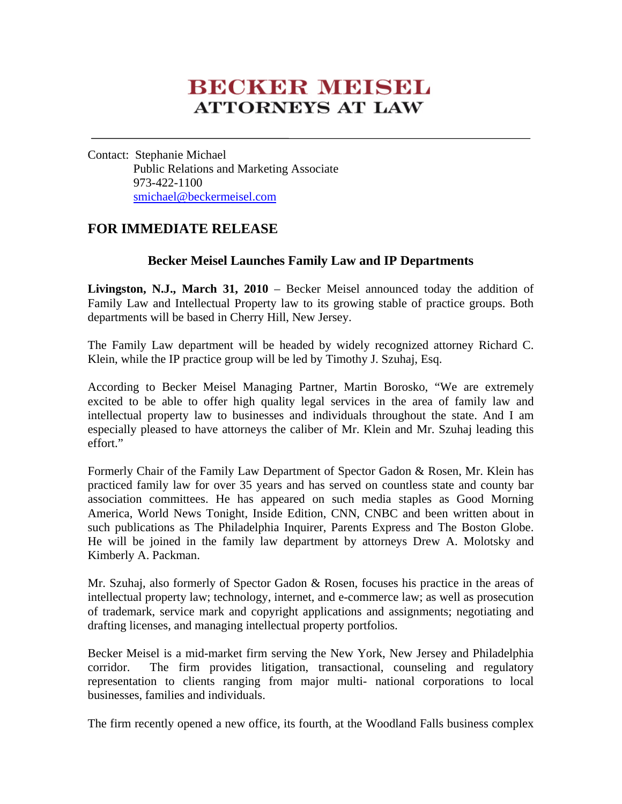# **BECKER MEISEL ATTORNEYS AT LAW**

Contact: Stephanie Michael Public Relations and Marketing Associate 973-422-1100 smichael@beckermeisel.com

## **FOR IMMEDIATE RELEASE**

## **Becker Meisel Launches Family Law and IP Departments**

**Livingston, N.J., March 31, 2010** – Becker Meisel announced today the addition of Family Law and Intellectual Property law to its growing stable of practice groups. Both departments will be based in Cherry Hill, New Jersey.

The Family Law department will be headed by widely recognized attorney Richard C. Klein, while the IP practice group will be led by Timothy J. Szuhaj, Esq.

According to Becker Meisel Managing Partner, Martin Borosko, "We are extremely excited to be able to offer high quality legal services in the area of family law and intellectual property law to businesses and individuals throughout the state. And I am especially pleased to have attorneys the caliber of Mr. Klein and Mr. Szuhaj leading this effort."

Formerly Chair of the Family Law Department of Spector Gadon & Rosen, Mr. Klein has practiced family law for over 35 years and has served on countless state and county bar association committees. He has appeared on such media staples as Good Morning America, World News Tonight, Inside Edition, CNN, CNBC and been written about in such publications as The Philadelphia Inquirer, Parents Express and The Boston Globe. He will be joined in the family law department by attorneys Drew A. Molotsky and Kimberly A. Packman.

Mr. Szuhaj, also formerly of Spector Gadon & Rosen, focuses his practice in the areas of intellectual property law; technology, internet, and e-commerce law; as well as prosecution of trademark, service mark and copyright applications and assignments; negotiating and drafting licenses, and managing intellectual property portfolios.

Becker Meisel is a mid-market firm serving the New York, New Jersey and Philadelphia corridor. The firm provides litigation, transactional, counseling and regulatory representation to clients ranging from major multi- national corporations to local businesses, families and individuals.

The firm recently opened a new office, its fourth, at the Woodland Falls business complex